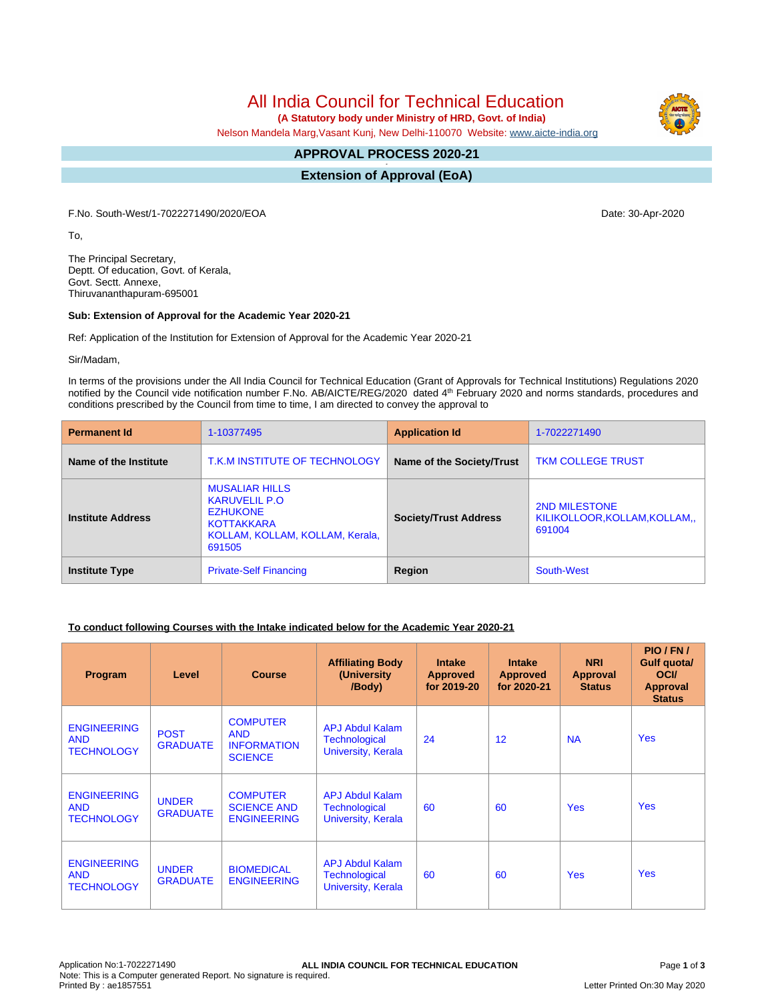All India Council for Technical Education

 **(A Statutory body under Ministry of HRD, Govt. of India)**

Nelson Mandela Marg,Vasant Kunj, New Delhi-110070 Website: [www.aicte-india.org](http://www.aicte-india.org)

#### **APPROVAL PROCESS 2020-21 -**

**Extension of Approval (EoA)**

F.No. South-West/1-7022271490/2020/EOA Date: 30-Apr-2020

To,

The Principal Secretary, Deptt. Of education, Govt. of Kerala, Govt. Sectt. Annexe, Thiruvananthapuram-695001

### **Sub: Extension of Approval for the Academic Year 2020-21**

Ref: Application of the Institution for Extension of Approval for the Academic Year 2020-21

Sir/Madam,

In terms of the provisions under the All India Council for Technical Education (Grant of Approvals for Technical Institutions) Regulations 2020 notified by the Council vide notification number F.No. AB/AICTE/REG/2020 dated 4<sup>th</sup> February 2020 and norms standards, procedures and conditions prescribed by the Council from time to time, I am directed to convey the approval to

| <b>Permanent Id</b>      | 1-10377495                                                                                                                         | <b>Application Id</b>        | 1-7022271490                                                   |  |
|--------------------------|------------------------------------------------------------------------------------------------------------------------------------|------------------------------|----------------------------------------------------------------|--|
| Name of the Institute    | T.K.M INSTITUTE OF TECHNOLOGY                                                                                                      | Name of the Society/Trust    | <b>TKM COLLEGE TRUST</b>                                       |  |
| <b>Institute Address</b> | <b>MUSALIAR HILLS</b><br><b>KARUVELIL P.O</b><br><b>EZHUKONE</b><br><b>KOTTAKKARA</b><br>KOLLAM, KOLLAM, KOLLAM, Kerala,<br>691505 | <b>Society/Trust Address</b> | <b>2ND MILESTONE</b><br>KILIKOLLOOR, KOLLAM, KOLLAM,<br>691004 |  |
| <b>Institute Type</b>    | <b>Private-Self Financing</b>                                                                                                      | Region                       | South-West                                                     |  |

# **To conduct following Courses with the Intake indicated below for the Academic Year 2020-21**

| Program                                               | Level                           | <b>Course</b>                                                         | <b>Affiliating Body</b><br>(University<br>/Body)                     | <b>Intake</b><br><b>Approved</b><br>for 2019-20 | <b>Intake</b><br><b>Approved</b><br>for 2020-21 | <b>NRI</b><br>Approval<br><b>Status</b> | PIO/FN/<br>Gulf quota/<br><b>OCI</b><br><b>Approval</b><br><b>Status</b> |
|-------------------------------------------------------|---------------------------------|-----------------------------------------------------------------------|----------------------------------------------------------------------|-------------------------------------------------|-------------------------------------------------|-----------------------------------------|--------------------------------------------------------------------------|
| <b>ENGINEERING</b><br><b>AND</b><br><b>TECHNOLOGY</b> | <b>POST</b><br><b>GRADUATE</b>  | <b>COMPUTER</b><br><b>AND</b><br><b>INFORMATION</b><br><b>SCIENCE</b> | <b>APJ Abdul Kalam</b><br><b>Technological</b><br>University, Kerala | 24                                              | 12                                              | <b>NA</b>                               | <b>Yes</b>                                                               |
| <b>ENGINEERING</b><br><b>AND</b><br><b>TECHNOLOGY</b> | <b>UNDER</b><br><b>GRADUATE</b> | <b>COMPUTER</b><br><b>SCIENCE AND</b><br><b>ENGINEERING</b>           | <b>APJ Abdul Kalam</b><br><b>Technological</b><br>University, Kerala | 60                                              | 60                                              | <b>Yes</b>                              | <b>Yes</b>                                                               |
| <b>ENGINEERING</b><br><b>AND</b><br><b>TECHNOLOGY</b> | <b>UNDER</b><br><b>GRADUATE</b> | <b>BIOMEDICAL</b><br><b>ENGINEERING</b>                               | <b>APJ Abdul Kalam</b><br><b>Technological</b><br>University, Kerala | 60                                              | 60                                              | <b>Yes</b>                              | <b>Yes</b>                                                               |

Letter Printed On:30 May 2020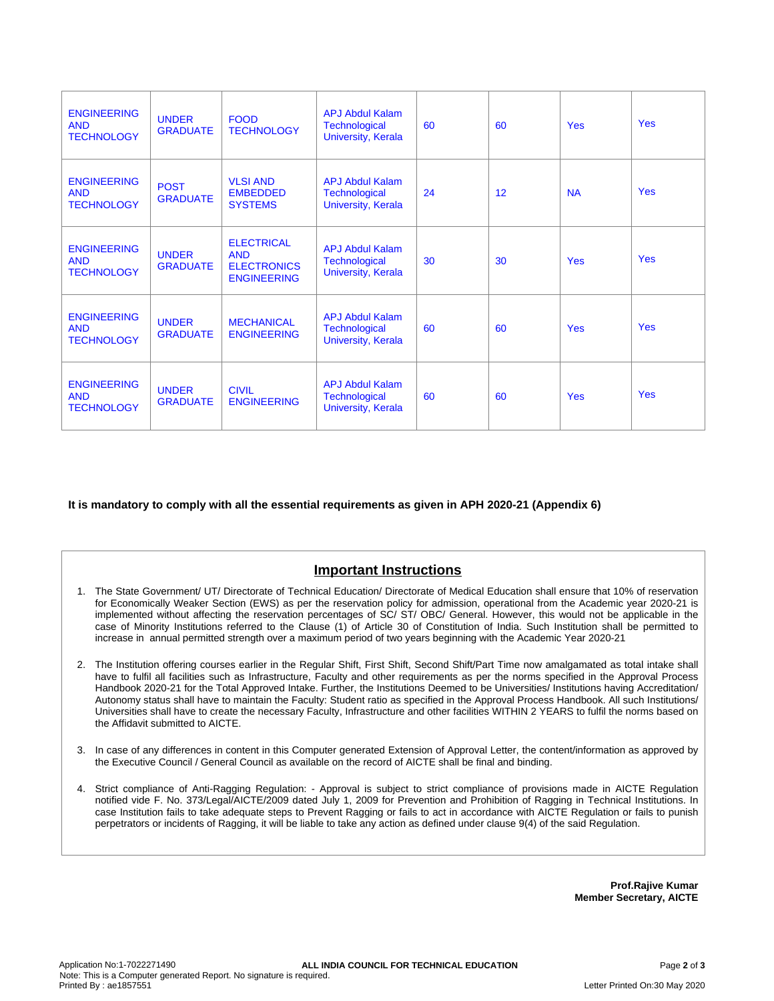| <b>ENGINEERING</b><br><b>AND</b><br><b>TECHNOLOGY</b> | <b>UNDER</b><br><b>GRADUATE</b> | <b>FOOD</b><br><b>TECHNOLOGY</b>                                            | APJ Abdul Kalam<br><b>Technological</b><br>University, Kerala               | 60 | 60 | <b>Yes</b> | <b>Yes</b> |
|-------------------------------------------------------|---------------------------------|-----------------------------------------------------------------------------|-----------------------------------------------------------------------------|----|----|------------|------------|
| <b>ENGINEERING</b><br><b>AND</b><br><b>TECHNOLOGY</b> | <b>POST</b><br><b>GRADUATE</b>  | <b>VLSI AND</b><br><b>EMBEDDED</b><br><b>SYSTEMS</b>                        | APJ Abdul Kalam<br>Technological<br>University, Kerala                      | 24 | 12 | <b>NA</b>  | Yes        |
| <b>ENGINEERING</b><br><b>AND</b><br><b>TECHNOLOGY</b> | <b>UNDER</b><br><b>GRADUATE</b> | <b>ELECTRICAL</b><br><b>AND</b><br><b>ELECTRONICS</b><br><b>ENGINEERING</b> | APJ Abdul Kalam<br><b>Technological</b><br>University, Kerala               | 30 | 30 | <b>Yes</b> | Yes        |
| <b>ENGINEERING</b><br><b>AND</b><br><b>TECHNOLOGY</b> | <b>UNDER</b><br><b>GRADUATE</b> | <b>MECHANICAL</b><br><b>ENGINEERING</b>                                     | <b>APJ Abdul Kalam</b><br><b>Technological</b><br><b>University, Kerala</b> | 60 | 60 | <b>Yes</b> | <b>Yes</b> |
| <b>ENGINEERING</b><br><b>AND</b><br><b>TECHNOLOGY</b> | <b>UNDER</b><br><b>GRADUATE</b> | <b>CIVIL</b><br><b>ENGINEERING</b>                                          | <b>APJ Abdul Kalam</b><br><b>Technological</b><br>University, Kerala        | 60 | 60 | <b>Yes</b> | <b>Yes</b> |

**It is mandatory to comply with all the essential requirements as given in APH 2020-21 (Appendix 6)**

# **Important Instructions**

- 1. The State Government/ UT/ Directorate of Technical Education/ Directorate of Medical Education shall ensure that 10% of reservation for Economically Weaker Section (EWS) as per the reservation policy for admission, operational from the Academic year 2020-21 is implemented without affecting the reservation percentages of SC/ ST/ OBC/ General. However, this would not be applicable in the case of Minority Institutions referred to the Clause (1) of Article 30 of Constitution of India. Such Institution shall be permitted to increase in annual permitted strength over a maximum period of two years beginning with the Academic Year 2020-21
- 2. The Institution offering courses earlier in the Regular Shift, First Shift, Second Shift/Part Time now amalgamated as total intake shall have to fulfil all facilities such as Infrastructure, Faculty and other requirements as per the norms specified in the Approval Process Handbook 2020-21 for the Total Approved Intake. Further, the Institutions Deemed to be Universities/ Institutions having Accreditation/ Autonomy status shall have to maintain the Faculty: Student ratio as specified in the Approval Process Handbook. All such Institutions/ Universities shall have to create the necessary Faculty, Infrastructure and other facilities WITHIN 2 YEARS to fulfil the norms based on the Affidavit submitted to AICTE.
- 3. In case of any differences in content in this Computer generated Extension of Approval Letter, the content/information as approved by the Executive Council / General Council as available on the record of AICTE shall be final and binding.
- 4. Strict compliance of Anti-Ragging Regulation: Approval is subject to strict compliance of provisions made in AICTE Regulation notified vide F. No. 373/Legal/AICTE/2009 dated July 1, 2009 for Prevention and Prohibition of Ragging in Technical Institutions. In case Institution fails to take adequate steps to Prevent Ragging or fails to act in accordance with AICTE Regulation or fails to punish perpetrators or incidents of Ragging, it will be liable to take any action as defined under clause 9(4) of the said Regulation.

**Prof.Rajive Kumar Member Secretary, AICTE**